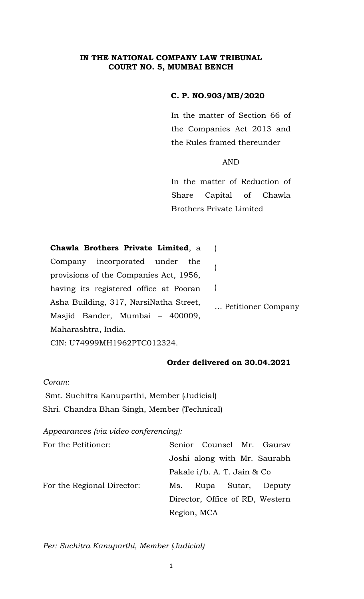## **IN THE NATIONAL COMPANY LAW TRIBUNAL COURT NO. 5, MUMBAI BENCH**

### **C. P. NO.903/MB/2020**

In the matter of Section 66 of the Companies Act 2013 and the Rules framed thereunder

AND

In the matter of Reduction of Share Capital of Chawla Brothers Private Limited

| <b>Chawla Brothers Private Limited, a</b> ) |                    |
|---------------------------------------------|--------------------|
| Company incorporated under the              |                    |
| provisions of the Companies Act, 1956,      |                    |
| having its registered office at Pooran      |                    |
| Asha Building, 317, NarsiNatha Street,      | Petitioner Company |
| Masjid Bander, Mumbai - 400009,             |                    |
| Maharashtra, India.                         |                    |
| CIN: U74999MH1962PTC012324.                 |                    |

## **Order delivered on 30.04.2021**

## *Coram*:

Smt. Suchitra Kanuparthi, Member (Judicial) Shri. Chandra Bhan Singh, Member (Technical)

*Appearances (via video conferencing):*

| For the Petitioner:        | Senior Counsel Mr. Gaurav       |
|----------------------------|---------------------------------|
|                            | Joshi along with Mr. Saurabh    |
|                            | Pakale i/b. A. T. Jain & Co     |
| For the Regional Director: | Rupa Sutar, Deputy<br>Ms.       |
|                            | Director, Office of RD, Western |
|                            | Region, MCA                     |

*Per: Suchitra Kanuparthi, Member (Judicial)*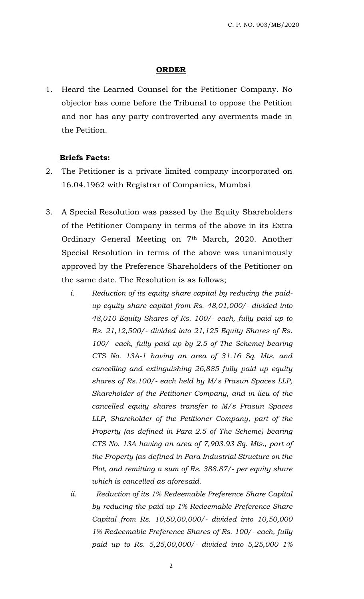### **ORDER**

1. Heard the Learned Counsel for the Petitioner Company. No objector has come before the Tribunal to oppose the Petition and nor has any party controverted any averments made in the Petition.

#### **Briefs Facts:**

- 2. The Petitioner is a private limited company incorporated on 16.04.1962 with Registrar of Companies, Mumbai
- 3. A Special Resolution was passed by the Equity Shareholders of the Petitioner Company in terms of the above in its Extra Ordinary General Meeting on 7th March, 2020. Another Special Resolution in terms of the above was unanimously approved by the Preference Shareholders of the Petitioner on the same date. The Resolution is as follows;
	- *i. Reduction of its equity share capital by reducing the paidup equity share capital from Rs. 48,01,000/- divided into 48,010 Equity Shares of Rs. 100/- each, fully paid up to Rs. 21,12,500/- divided into 21,125 Equity Shares of Rs. 100/- each, fully paid up by 2.5 of The Scheme) bearing CTS No. 13A-1 having an area of 31.16 Sq. Mts. and cancelling and extinguishing 26,885 fully paid up equity shares of Rs.100/- each held by M/s Prasun Spaces LLP, Shareholder of the Petitioner Company, and in lieu of the cancelled equity shares transfer to M/s Prasun Spaces LLP, Shareholder of the Petitioner Company, part of the Property (as defined in Para 2.5 of The Scheme) bearing CTS No. 13A having an area of 7,903.93 Sq. Mts., part of the Property (as defined in Para Industrial Structure on the Plot, and remitting a sum of Rs. 388.87/- per equity share which is cancelled as aforesaid.*

*ii. Reduction of its 1% Redeemable Preference Share Capital by reducing the paid-up 1% Redeemable Preference Share Capital from Rs. 10,50,00,000/- divided into 10,50,000 1% Redeemable Preference Shares of Rs. 100/- each, fully paid up to Rs. 5,25,00,000/- divided into 5,25,000 1%*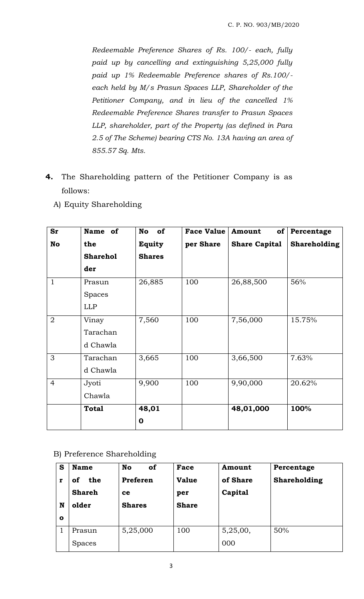*Redeemable Preference Shares of Rs. 100/- each, fully paid up by cancelling and extinguishing 5,25,000 fully paid up 1% Redeemable Preference shares of Rs.100/ each held by M/s Prasun Spaces LLP, Shareholder of the Petitioner Company, and in lieu of the cancelled 1% Redeemable Preference Shares transfer to Prasun Spaces LLP, shareholder, part of the Property (as defined in Para 2.5 of The Scheme) bearing CTS No. 13A having an area of 855.57 Sq. Mts.*

**4.** The Shareholding pattern of the Petitioner Company is as follows:

| <b>Sr</b>      | Name of         | of<br><b>No</b> | <b>Face Value</b> | Amount<br>of <sub>l</sub> | Percentage          |
|----------------|-----------------|-----------------|-------------------|---------------------------|---------------------|
| <b>No</b>      | the             | Equity          | per Share         | <b>Share Capital</b>      | <b>Shareholding</b> |
|                | <b>Sharehol</b> | <b>Shares</b>   |                   |                           |                     |
|                | der             |                 |                   |                           |                     |
| $\mathbf{1}$   | Prasun          | 26,885          | 100               | 26,88,500                 | 56%                 |
|                | <b>Spaces</b>   |                 |                   |                           |                     |
|                | <b>LLP</b>      |                 |                   |                           |                     |
| $\overline{2}$ | Vinay           | 7,560           | 100               | 7,56,000                  | 15.75%              |
|                | Tarachan        |                 |                   |                           |                     |
|                | d Chawla        |                 |                   |                           |                     |
| 3              | Tarachan        | 3,665           | 100               | 3,66,500                  | 7.63%               |
|                | d Chawla        |                 |                   |                           |                     |
| $\overline{4}$ | Jyoti           | 9,900           | 100               | 9,90,000                  | 20.62%              |
|                | Chawla          |                 |                   |                           |                     |
|                | <b>Total</b>    | 48,01           |                   | 48,01,000                 | 100%                |
|                |                 | $\mathbf 0$     |                   |                           |                     |

A) Equity Shareholding

## B) Preference Shareholding

| S | <b>Name</b>   | <b>No</b><br>of | Face         | Amount   | Percentage   |
|---|---------------|-----------------|--------------|----------|--------------|
| r | the<br>οf     | Preferen        | <b>Value</b> | of Share | Shareholding |
|   | <b>Shareh</b> | ce              | per          | Capital  |              |
| N | older         | <b>Shares</b>   | <b>Share</b> |          |              |
| O |               |                 |              |          |              |
|   | Prasun        | 5,25,000        | 100          | 5,25,00, | 50%          |
|   | <b>Spaces</b> |                 |              | 000      |              |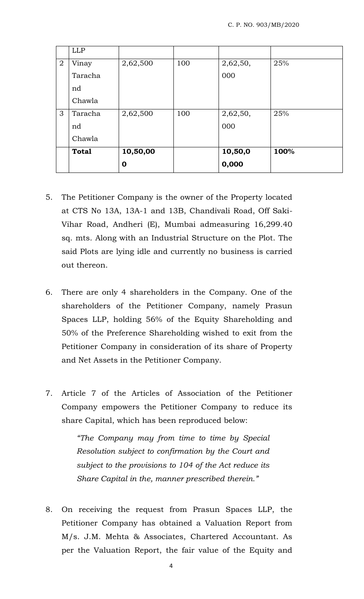|                | <b>LLP</b>   |             |     |          |      |
|----------------|--------------|-------------|-----|----------|------|
| $\overline{2}$ | Vinay        | 2,62,500    | 100 | 2,62,50, | 25%  |
|                | Taracha      |             |     | 000      |      |
|                | nd           |             |     |          |      |
|                | Chawla       |             |     |          |      |
| 3              | Taracha      | 2,62,500    | 100 | 2,62,50, | 25%  |
|                | nd           |             |     | 000      |      |
|                | Chawla       |             |     |          |      |
|                | <b>Total</b> | 10,50,00    |     | 10,50,0  | 100% |
|                |              | $\mathbf 0$ |     | 0,000    |      |

- 5. The Petitioner Company is the owner of the Property located at CTS No 13A, 13A-1 and 13B, Chandivali Road, Off Saki-Vihar Road, Andheri (E), Mumbai admeasuring 16,299.40 sq. mts. Along with an Industrial Structure on the Plot. The said Plots are lying idle and currently no business is carried out thereon.
- 6. There are only 4 shareholders in the Company. One of the shareholders of the Petitioner Company, namely Prasun Spaces LLP, holding 56% of the Equity Shareholding and 50% of the Preference Shareholding wished to exit from the Petitioner Company in consideration of its share of Property and Net Assets in the Petitioner Company.
- 7. Article 7 of the Articles of Association of the Petitioner Company empowers the Petitioner Company to reduce its share Capital, which has been reproduced below:

*"The Company may from time to time by Special Resolution subject to confirmation by the Court and subject to the provisions to 104 of the Act reduce its Share Capital in the, manner prescribed therein."*

8. On receiving the request from Prasun Spaces LLP, the Petitioner Company has obtained a Valuation Report from M/s. J.M. Mehta & Associates, Chartered Accountant. As per the Valuation Report, the fair value of the Equity and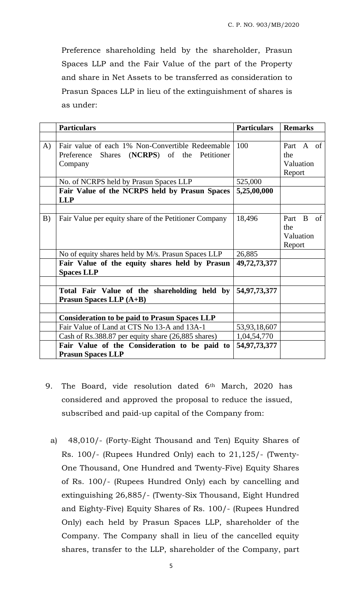Preference shareholding held by the shareholder, Prasun Spaces LLP and the Fair Value of the part of the Property and share in Net Assets to be transferred as consideration to Prasun Spaces LLP in lieu of the extinguishment of shares is as under:

|          | <b>Particulars</b>                                                               | <b>Particulars</b> | <b>Remarks</b> |
|----------|----------------------------------------------------------------------------------|--------------------|----------------|
|          |                                                                                  |                    |                |
| $\bf{A}$ | Fair value of each 1% Non-Convertible Redeemable                                 | 100                | Part A of      |
|          | Preference Shares (NCRPS) of the Petitioner                                      |                    | the            |
|          | Company                                                                          |                    | Valuation      |
|          |                                                                                  |                    | Report         |
|          | No. of NCRPS held by Prasun Spaces LLP                                           | 525,000            |                |
|          | Fair Value of the NCRPS held by Prasun Spaces<br><b>LLP</b>                      | 5,25,00,000        |                |
|          |                                                                                  |                    |                |
| B)       | Fair Value per equity share of the Petitioner Company                            | 18,496             | Part B<br>- of |
|          |                                                                                  |                    | the            |
|          |                                                                                  |                    | Valuation      |
|          |                                                                                  |                    | Report         |
|          | No of equity shares held by M/s. Prasun Spaces LLP                               | 26,885             |                |
|          | Fair Value of the equity shares held by Prasun<br><b>Spaces LLP</b>              | 49, 72, 73, 377    |                |
|          |                                                                                  |                    |                |
|          | Total Fair Value of the shareholding held by<br><b>Prasun Spaces LLP</b> $(A+B)$ | 54,97,73,377       |                |
|          |                                                                                  |                    |                |
|          | <b>Consideration to be paid to Prasun Spaces LLP</b>                             |                    |                |
|          | Fair Value of Land at CTS No 13-A and 13A-1                                      | 53,93,18,607       |                |
|          | Cash of Rs.388.87 per equity share (26,885 shares)                               | 1,04,54,770        |                |
|          | Fair Value of the Consideration to be paid to<br><b>Prasun Spaces LLP</b>        | 54, 97, 73, 377    |                |

- 9. The Board, vide resolution dated 6th March, 2020 has considered and approved the proposal to reduce the issued, subscribed and paid-up capital of the Company from:
	- a) 48,010/- (Forty-Eight Thousand and Ten) Equity Shares of Rs. 100/- (Rupees Hundred Only) each to 21,125/- (Twenty-One Thousand, One Hundred and Twenty-Five) Equity Shares of Rs. 100/- (Rupees Hundred Only) each by cancelling and extinguishing 26,885/- (Twenty-Six Thousand, Eight Hundred and Eighty-Five) Equity Shares of Rs. 100/- (Rupees Hundred Only) each held by Prasun Spaces LLP, shareholder of the Company. The Company shall in lieu of the cancelled equity shares, transfer to the LLP, shareholder of the Company, part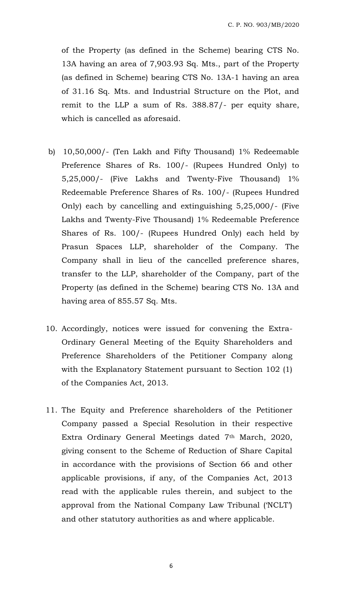of the Property (as defined in the Scheme) bearing CTS No. 13A having an area of 7,903.93 Sq. Mts., part of the Property (as defined in Scheme) bearing CTS No. 13A-1 having an area of 31.16 Sq. Mts. and Industrial Structure on the Plot, and remit to the LLP a sum of Rs. 388.87/- per equity share, which is cancelled as aforesaid.

- b) 10,50,000/- (Ten Lakh and Fifty Thousand) 1% Redeemable Preference Shares of Rs. 100/- (Rupees Hundred Only) to 5,25,000/- (Five Lakhs and Twenty-Five Thousand) 1% Redeemable Preference Shares of Rs. 100/- (Rupees Hundred Only) each by cancelling and extinguishing 5,25,000/- (Five Lakhs and Twenty-Five Thousand) 1% Redeemable Preference Shares of Rs. 100/- (Rupees Hundred Only) each held by Prasun Spaces LLP, shareholder of the Company. The Company shall in lieu of the cancelled preference shares, transfer to the LLP, shareholder of the Company, part of the Property (as defined in the Scheme) bearing CTS No. 13A and having area of 855.57 Sq. Mts.
- 10. Accordingly, notices were issued for convening the Extra-Ordinary General Meeting of the Equity Shareholders and Preference Shareholders of the Petitioner Company along with the Explanatory Statement pursuant to Section 102 (1) of the Companies Act, 2013.
- 11. The Equity and Preference shareholders of the Petitioner Company passed a Special Resolution in their respective Extra Ordinary General Meetings dated 7th March, 2020, giving consent to the Scheme of Reduction of Share Capital in accordance with the provisions of Section 66 and other applicable provisions, if any, of the Companies Act, 2013 read with the applicable rules therein, and subject to the approval from the National Company Law Tribunal ('NCLT') and other statutory authorities as and where applicable.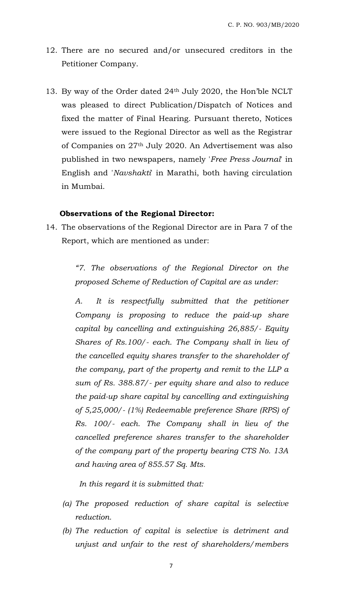- 12. There are no secured and/or unsecured creditors in the Petitioner Company.
- 13. By way of the Order dated 24th July 2020, the Hon'ble NCLT was pleased to direct Publication/Dispatch of Notices and fixed the matter of Final Hearing. Pursuant thereto, Notices were issued to the Regional Director as well as the Registrar of Companies on 27th July 2020. An Advertisement was also published in two newspapers, namely '*Free Press Journal*' in English and '*Navshakti*' in Marathi, both having circulation in Mumbai.

#### **Observations of the Regional Director:**

14. The observations of the Regional Director are in Para 7 of the Report, which are mentioned as under:

> *"7. The observations of the Regional Director on the proposed Scheme of Reduction of Capital are as under:*

> *A. It is respectfully submitted that the petitioner Company is proposing to reduce the paid-up share capital by cancelling and extinguishing 26,885/- Equity Shares of Rs.100/- each. The Company shall in lieu of the cancelled equity shares transfer to the shareholder of the company, part of the property and remit to the LLP a sum of Rs. 388.87/- per equity share and also to reduce the paid-up share capital by cancelling and extinguishing of 5,25,000/- (1%) Redeemable preference Share (RPS) of Rs. 100/- each. The Company shall in lieu of the cancelled preference shares transfer to the shareholder of the company part of the property bearing CTS No. 13A and having area of 855.57 Sq. Mts.*

*In this regard it is submitted that:*

- *(a) The proposed reduction of share capital is selective reduction.*
- *(b) The reduction of capital is selective is detriment and unjust and unfair to the rest of shareholders/members*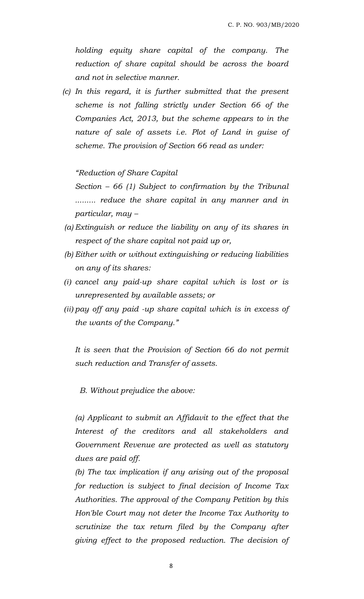*holding equity share capital of the company. The reduction of share capital should be across the board and not in selective manner.*

*(c) In this regard, it is further submitted that the present scheme is not falling strictly under Section 66 of the Companies Act, 2013, but the scheme appears to in the nature of sale of assets i.e. Plot of Land in guise of scheme. The provision of Section 66 read as under:* 

*"Reduction of Share Capital* 

*Section – 66 (1) Subject to confirmation by the Tribunal ......... reduce the share capital in any manner and in particular, may –*

- *(a) Extinguish or reduce the liability on any of its shares in respect of the share capital not paid up or,*
- *(b) Either with or without extinguishing or reducing liabilities on any of its shares:*
- *(i) cancel any paid-up share capital which is lost or is unrepresented by available assets; or*
- *(ii) pay off any paid -up share capital which is in excess of the wants of the Company."*

*It is seen that the Provision of Section 66 do not permit such reduction and Transfer of assets.* 

*B. Without prejudice the above:*

*(a) Applicant to submit an Affidavit to the effect that the Interest of the creditors and all stakeholders and Government Revenue are protected as well as statutory dues are paid off.* 

*(b) The tax implication if any arising out of the proposal for reduction is subject to final decision of Income Tax Authorities. The approval of the Company Petition by this Hon'ble Court may not deter the Income Tax Authority to scrutinize the tax return filed by the Company after giving effect to the proposed reduction. The decision of*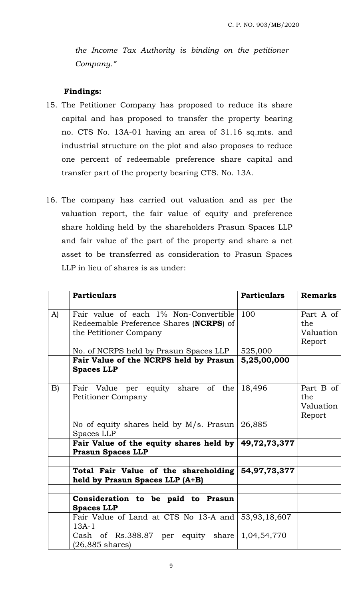*the Income Tax Authority is binding on the petitioner Company."*

## **Findings:**

- 15. The Petitioner Company has proposed to reduce its share capital and has proposed to transfer the property bearing no. CTS No. 13A-01 having an area of 31.16 sq.mts. and industrial structure on the plot and also proposes to reduce one percent of redeemable preference share capital and transfer part of the property bearing CTS. No. 13A.
- 16. The company has carried out valuation and as per the valuation report, the fair value of equity and preference share holding held by the shareholders Prasun Spaces LLP and fair value of the part of the property and share a net asset to be transferred as consideration to Prasun Spaces LLP in lieu of shares is as under:

|    | <b>Particulars</b>                                                                                         | <b>Particulars</b> | <b>Remarks</b>                          |
|----|------------------------------------------------------------------------------------------------------------|--------------------|-----------------------------------------|
|    |                                                                                                            |                    |                                         |
| A) | Fair value of each 1% Non-Convertible<br>Redeemable Preference Shares (NCRPS) of<br>the Petitioner Company | 100                | Part A of<br>the<br>Valuation<br>Report |
|    | No. of NCRPS held by Prasun Spaces LLP                                                                     | 525,000            |                                         |
|    | Fair Value of the NCRPS held by Prasun<br><b>Spaces LLP</b>                                                | 5,25,00,000        |                                         |
|    |                                                                                                            |                    |                                         |
| B) | Fair Value per equity share of the<br><b>Petitioner Company</b>                                            | 18,496             | Part B of<br>the<br>Valuation<br>Report |
|    | No of equity shares held by $M/s$ . Prasun<br>Spaces LLP                                                   | 26,885             |                                         |
|    | Fair Value of the equity shares held by $ 49,72,73,377$<br><b>Prasun Spaces LLP</b>                        |                    |                                         |
|    |                                                                                                            |                    |                                         |
|    | Total Fair Value of the shareholding 54,97,73,377<br>held by Prasun Spaces LLP (A+B)                       |                    |                                         |
|    |                                                                                                            |                    |                                         |
|    | Consideration to be paid to Prasun<br><b>Spaces LLP</b>                                                    |                    |                                         |
|    | Fair Value of Land at CTS No 13-A and   53,93,18,607<br>$13A-1$                                            |                    |                                         |
|    | Cash of Rs.388.87 per equity share<br>$(26,885 \text{ shares})$                                            | 1,04,54,770        |                                         |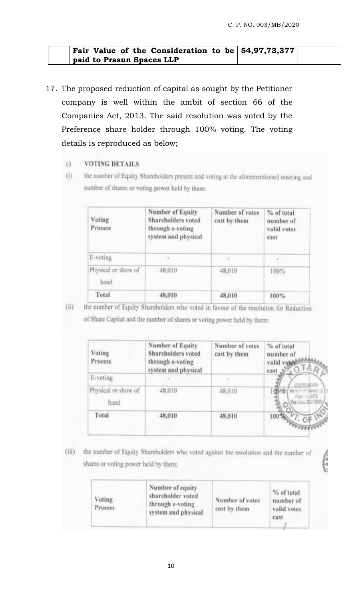#### **Fair Value of the Consideration to be paid to Prasun Spaces LLP 54,97,73,377**

- 17. The proposed reduction of capital as sought by the Petitioner company is well within the ambit of section 66 of the Companies Act, 2013. The said resolution was voted by the Preference share holder through 100% voting. The voting details is reproduced as below;
	- **VOTING DETAILS**  $c)$
	- the number of Equity Shareholders present and voting at the aforementioned meeting and  $(i)$ number of shares or voting power held by them:

| Voting<br>Process           | Number of Equity<br>Shareholders voted<br>through e-voting<br>system and physical | Number of votes<br>cast by them | % of total<br>number of<br>valid votes<br>cast |
|-----------------------------|-----------------------------------------------------------------------------------|---------------------------------|------------------------------------------------|
| E-voting                    |                                                                                   |                                 | $\overline{a}$                                 |
| Physical or show of<br>hand | 48,010                                                                            | 48,010                          | 100%                                           |
| Total                       | 48,010                                                                            | 48,010                          | 100%                                           |

 $(ii)$ 

the number of Equity Shareholders who voted in favour of the resolution for Reduction

of Share Capital and the number of shares or voting power held by them:

| Voting<br>Process           | <b>Number of Equity</b><br><b>Shareholders</b> voted<br>through e-voting<br>system and physical | Number of votes<br>cast by them | % of total<br>number of<br>valid votes<br>cast J |
|-----------------------------|-------------------------------------------------------------------------------------------------|---------------------------------|--------------------------------------------------|
| E-voting                    |                                                                                                 | $\sim$                          |                                                  |
| Physical or show of<br>hand | 48,010                                                                                          | 48,010                          | F.H. (1972)<br>Cs)                               |
| Total                       | 48,010                                                                                          | 48,010                          | PPPPP                                            |

**AB** 

(iii) the number of Equity Shareholders who voted against the resolution and the number of shares or voting power held by them;

| Voting<br>Process | Number of equity<br>shareholder voted<br>through e-voting<br>system and physical | Number of votes<br>cast by them | $%$ of total<br>number of<br>valid votes<br>cast |
|-------------------|----------------------------------------------------------------------------------|---------------------------------|--------------------------------------------------|
|-------------------|----------------------------------------------------------------------------------|---------------------------------|--------------------------------------------------|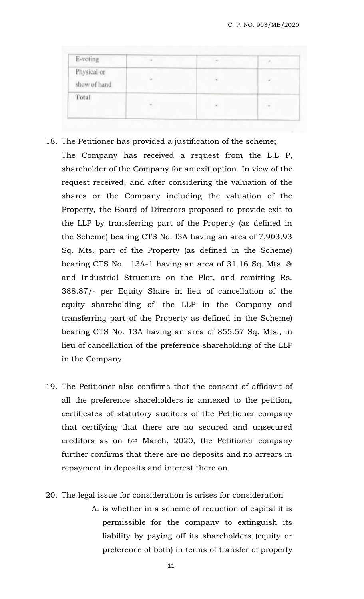| E-voting                    |                | 1.                  |   |
|-----------------------------|----------------|---------------------|---|
| Physical or<br>show of hand |                |                     |   |
| Total                       | $\blacksquare$ | $\scriptstyle\rm m$ | ٠ |

## 18. The Petitioner has provided a justification of the scheme;

- The Company has received a request from the L.L P, shareholder of the Company for an exit option. In view of the request received, and after considering the valuation of the shares or the Company including the valuation of the Property, the Board of Directors proposed to provide exit to the LLP by transferring part of the Property (as defined in the Scheme) bearing CTS No. I3A having an area of 7,903.93 Sq. Mts. part of the Property (as defined in the Scheme) bearing CTS No. 13A-1 having an area of 31.16 Sq. Mts. & and Industrial Structure on the Plot, and remitting Rs. 388.87/- per Equity Share in lieu of cancellation of the equity shareholding of' the LLP in the Company and transferring part of the Property as defined in the Scheme) bearing CTS No. 13A having an area of 855.57 Sq. Mts., in lieu of cancellation of the preference shareholding of the LLP in the Company.
- 19. The Petitioner also confirms that the consent of affidavit of all the preference shareholders is annexed to the petition, certificates of statutory auditors of the Petitioner company that certifying that there are no secured and unsecured creditors as on 6th March, 2020, the Petitioner company further confirms that there are no deposits and no arrears in repayment in deposits and interest there on.

## 20. The legal issue for consideration is arises for consideration

A. is whether in a scheme of reduction of capital it is permissible for the company to extinguish its liability by paying off its shareholders (equity or preference of both) in terms of transfer of property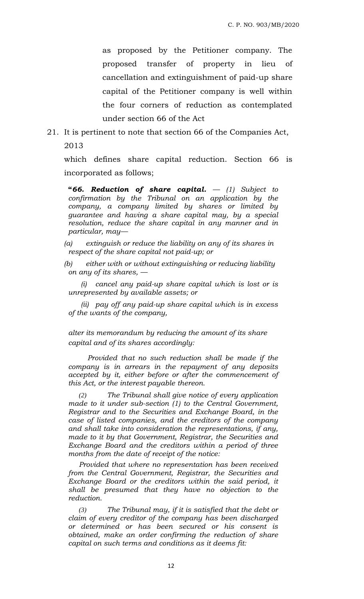as proposed by the Petitioner company. The proposed transfer of property in lieu of cancellation and extinguishment of paid-up share capital of the Petitioner company is well within the four corners of reduction as contemplated under section 66 of the Act

21. It is pertinent to note that section 66 of the Companies Act, 2013

which defines share capital reduction. Section 66 is incorporated as follows;

**"***66. Reduction of share capital. — (1) Subject to confirmation by the Tribunal on an application by the company, a company limited by shares or limited by guarantee and having a share capital may, by a special resolution, reduce the share capital in any manner and in particular, may—*

- *(a) extinguish or reduce the liability on any of its shares in respect of the share capital not paid-up; or*
- *(b) either with or without extinguishing or reducing liability on any of its shares, —*

*(i) cancel any paid-up share capital which is lost or is unrepresented by available assets; or*

*(ii) pay off any paid-up share capital which is in excess of the wants of the company,*

*alter its memorandum by reducing the amount of its share capital and of its shares accordingly:*

 *Provided that no such reduction shall be made if the company is in arrears in the repayment of any deposits accepted by it, either before or after the commencement of this Act, or the interest payable thereon.*

*(2) The Tribunal shall give notice of every application made to it under sub-section (1) to the Central Government, Registrar and to the Securities and Exchange Board, in the case of listed companies, and the creditors of the company and shall take into consideration the representations, if any, made to it by that Government, Registrar, the Securities and Exchange Board and the creditors within a period of three months from the date of receipt of the notice:*

*Provided that where no representation has been received from the Central Government, Registrar, the Securities and Exchange Board or the creditors within the said period, it shall be presumed that they have no objection to the reduction.*

*(3) The Tribunal may, if it is satisfied that the debt or claim of every creditor of the company has been discharged or determined or has been secured or his consent is obtained, make an order confirming the reduction of share capital on such terms and conditions as it deems fit:*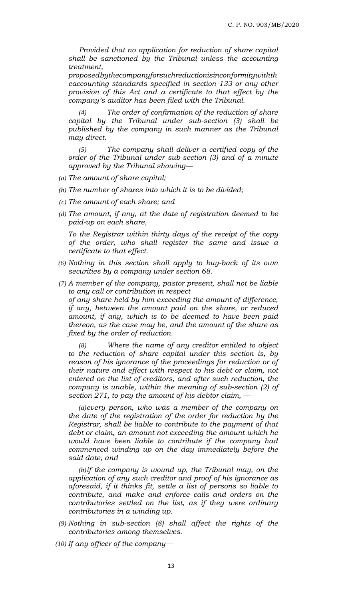*Provided that no application for reduction of share capital shall be sanctioned by the Tribunal unless the accounting treatment,* 

*proposedbythecompanyforsuchreductionisinconformitywithth eaccounting standards specified in section 133 or any other provision of this Act and a certificate to that effect by the company's auditor has been filed with the Tribunal.*

*(4) The order of confirmation of the reduction of share capital by the Tribunal under sub-section (3) shall be published by the company in such manner as the Tribunal may direct.*

*(5) The company shall deliver a certified copy of the order of the Tribunal under sub-section (3) and of a minute approved by the Tribunal showing—*

- *(a) The amount of share capital;*
- *(b) The number of shares into which it is to be divided;*
- *(c) The amount of each share; and*
- *(d) The amount, if any, at the date of registration deemed to be paid-up on each share,*

*To the Registrar within thirty days of the receipt of the copy of the order, who shall register the same and issue a certificate to that effect.*

- *(6) Nothing in this section shall apply to buy-back of its own securities by a company under section 68.*
- *(7) A member of the company, pastor present, shall not be liable to any call or contribution in respect*

*of any share held by him exceeding the amount of difference, if any, between the amount paid on the share, or reduced amount, if any, which is to be deemed to have been paid thereon, as the case may be, and the amount of the share as fixed by the order of reduction.*

*(8) Where the name of any creditor entitled to object to the reduction of share capital under this section is, by reason of his ignorance of the proceedings for reduction or of their nature and effect with respect to his debt or claim, not entered on the list of creditors, and after such reduction, the company is unable, within the meaning of sub-section (2) of section 271, to pay the amount of his debtor claim, —*

*(a)every person, who was a member of the company on the date of the registration of the order for reduction by the Registrar, shall be liable to contribute to the payment of that debt or claim, an amount not exceeding the amount which he would have been liable to contribute if the company had commenced winding up on the day immediately before the said date; and*

*(b)if the company is wound up, the Tribunal may, on the application of any such creditor and proof of his ignorance as aforesaid, if it thinks fit, settle a list of persons so liable to contribute, and make and enforce calls and orders on the contributories settled on the list, as if they were ordinary contributories in a winding up.*

- *(9) Nothing in sub-section (8) shall affect the rights of the contributories among themselves.*
- *(10) If any officer of the company—*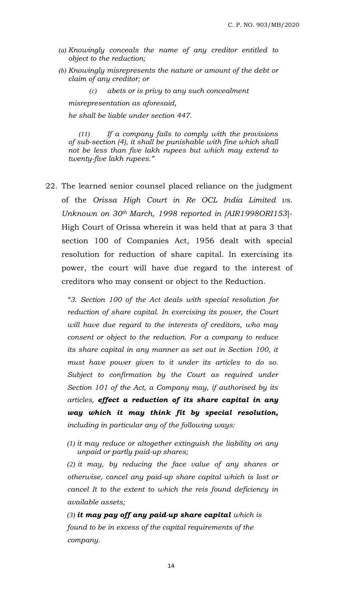- *(a) Knowingly conceals the name of any creditor entitled to object to the reduction;*
- *(b) Knowingly misrepresents the nature or amount of the debt or claim of any creditor; or*

*(c) abets or is privy to any such concealment* 

*misrepresentation as aforesaid,*

*he shall be liable under section 447.*

*(11) If a company fails to comply with the provisions of sub-section (4), it shall be punishable with fine which shall not be less than five lakh rupees but which may extend to twenty-five lakh rupees."*

22. The learned senior counsel placed reliance on the judgment of the *Orissa High Court in Re OCL India Limited vs. Unknown on 30th March, 1998 reported in [AIR1998ORI153*]- High Court of Orissa wherein it was held that at para 3 that section 100 of Companies Act, 1956 dealt with special resolution for reduction of share capital. In exercising its power, the court will have due regard to the interest of creditors who may consent or object to the Reduction.

*"3. Section 100 of the Act deals with special resolution for reduction of share capital. In exercising its power, the Court will have due regard to the interests of creditors, who may consent or object to the reduction. For a company to reduce its share capital in any manner as set out in Section 100, it must have power given to it under its articles to do so.*  Subject to confirmation by the Court as required under *Section 101 of the Act, a Company may, if authorised by its articles, effect a reduction of its share capital in any way which it may think fit by special resolution, including in particular any of the following ways:*

*(1) it may reduce or altogether extinguish the liability on any unpaid or partly paid-up shares;*

*(2) it may, by reducing the face value of any shares or otherwise, cancel any paid-up share capital which is lost or cancel It to the extent to which the reis found deficiency in available assets;*

*(3) it may pay off any paid-up share capital which is found to be in excess of the capital requirements of the company.*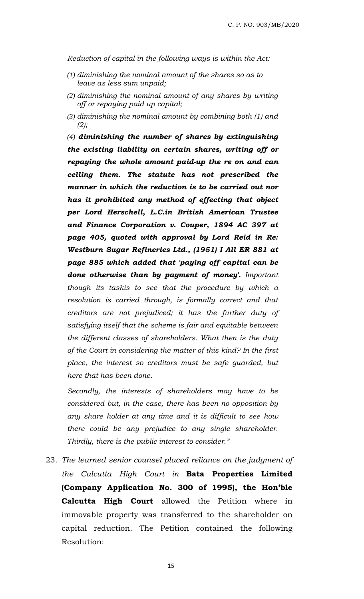*Reduction of capital in the following ways is within the Act:*

- *(1) diminishing the nominal amount of the shares so as to leave as less sum unpaid;*
- *(2) diminishing the nominal amount of any shares by writing off or repaying paid up capital;*
- *(3) diminishing the nominal amount by combining both (1) and (2);*

*(4) diminishing the number of shares by extinguishing the existing liability on certain shares, writing off or repaying the whole amount paid-up the re on and can celling them. The statute has not prescribed the manner in which the reduction is to be carried out nor has it prohibited any method of effecting that object per Lord Herschell, L.C.in British American Trustee and Finance Corporation v. Couper, 1894 AC 397 at page 405, quoted with approval by Lord Reid in Re: Westburn Sugar Refineries Ltd., (1951) I All ER 881 at page 885 which added that 'paying off capital can be done otherwise than by payment of money'. Important though its taskis to see that the procedure by which a resolution is carried through, is formally correct and that creditors are not prejudiced; it has the further duty of satisfying itself that the scheme is fair and equitable between the different classes of shareholders. What then is the duty of the Court in considering the matter of this kind? In the first place, the interest so creditors must be safe guarded, but here that has been done.*

*Secondly, the interests of shareholders may have to be considered but, in the case, there has been no opposition by any share holder at any time and it is difficult to see how there could be any prejudice to any single shareholder. Thirdly, there is the public interest to consider."*

23. *The learned senior counsel placed reliance on the judgment of the Calcutta High Court in* **Bata Properties Limited (Company Application No. 300 of 1995), the Hon'ble Calcutta High Court** allowed the Petition where in immovable property was transferred to the shareholder on capital reduction. The Petition contained the following Resolution: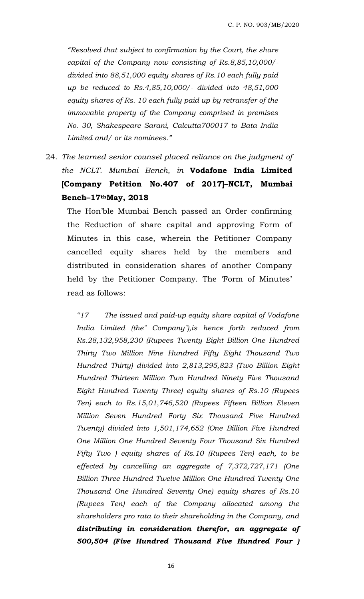*"Resolved that subject to confirmation by the Court, the share capital of the Company now consisting of Rs.8,85,10,000/ divided into 88,51,000 equity shares of Rs.10 each fully paid up be reduced to Rs.4,85,10,000/- divided into 48,51,000 equity shares of Rs. 10 each fully paid up by retransfer of the immovable property of the Company comprised in premises No. 30, Shakespeare Sarani, Calcutta700017 to Bata India Limited and/ or its nominees."*

24. *The learned senior counsel placed reliance on the judgment of the NCLT. Mumbai Bench, in* **Vodafone India Limited [Company Petition No.407 of 2017]–NCLT, Mumbai Bench–17thMay, 2018**

The Hon'ble Mumbai Bench passed an Order confirming the Reduction of share capital and approving Form of Minutes in this case, wherein the Petitioner Company cancelled equity shares held by the members and distributed in consideration shares of another Company held by the Petitioner Company. The 'Form of Minutes' read as follows:

*"17 The issued and paid-up equity share capital of Vodafone India Limited (the" Company"),is hence forth reduced from Rs.28,132,958,230 (Rupees Twenty Eight Billion One Hundred Thirty Two Million Nine Hundred Fifty Eight Thousand Two Hundred Thirty) divided into 2,813,295,823 (Two Billion Eight Hundred Thirteen Million Two Hundred Ninety Five Thousand Eight Hundred Twenty Three) equity shares of Rs.10 (Rupees Ten) each to Rs.15,01,746,520 (Rupees Fifteen Billion Eleven Million Seven Hundred Forty Six Thousand Five Hundred Twenty) divided into 1,501,174,652 (One Billion Five Hundred One Million One Hundred Seventy Four Thousand Six Hundred Fifty Two ) equity shares of Rs.10 (Rupees Ten) each, to be effected by cancelling an aggregate of 7,372,727,171 (One Billion Three Hundred Twelve Million One Hundred Twenty One Thousand One Hundred Seventy One) equity shares of Rs.10 (Rupees Ten) each of the Company allocated among the shareholders pro rata to their shareholding in the Company, and distributing in consideration therefor, an aggregate of 500,504 (Five Hundred Thousand Five Hundred Four )*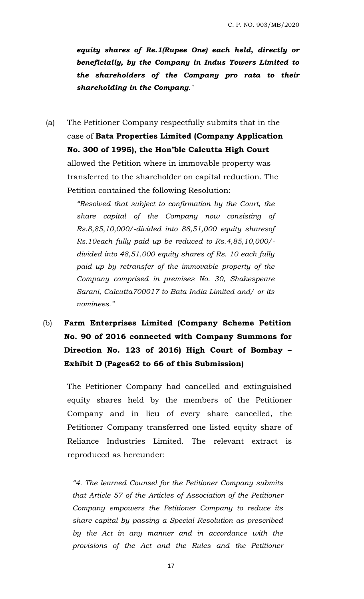*equity shares of Re.1(Rupee One) each held, directly or beneficially, by the Company in Indus Towers Limited to the shareholders of the Company pro rata to their shareholding in the Company."*

(a) The Petitioner Company respectfully submits that in the case of **Bata Properties Limited (Company Application No. 300 of 1995), the Hon'ble Calcutta High Court**  allowed the Petition where in immovable property was transferred to the shareholder on capital reduction. The Petition contained the following Resolution:

> *"Resolved that subject to confirmation by the Court, the share capital of the Company now consisting of Rs.8,85,10,000/-divided into 88,51,000 equity sharesof Rs.10each fully paid up be reduced to Rs.4,85,10,000/ divided into 48,51,000 equity shares of Rs. 10 each fully paid up by retransfer of the immovable property of the Company comprised in premises No. 30, Shakespeare Sarani, Calcutta700017 to Bata India Limited and/ or its nominees."*

(b) **Farm Enterprises Limited (Company Scheme Petition No. 90 of 2016 connected with Company Summons for Direction No. 123 of 2016) High Court of Bombay – Exhibit D (Pages62 to 66 of this Submission)**

The Petitioner Company had cancelled and extinguished equity shares held by the members of the Petitioner Company and in lieu of every share cancelled, the Petitioner Company transferred one listed equity share of Reliance Industries Limited. The relevant extract is reproduced as hereunder:

*"4. The learned Counsel for the Petitioner Company submits that Article 57 of the Articles of Association of the Petitioner Company empowers the Petitioner Company to reduce its share capital by passing a Special Resolution as prescribed by the Act in any manner and in accordance with the provisions of the Act and the Rules and the Petitioner*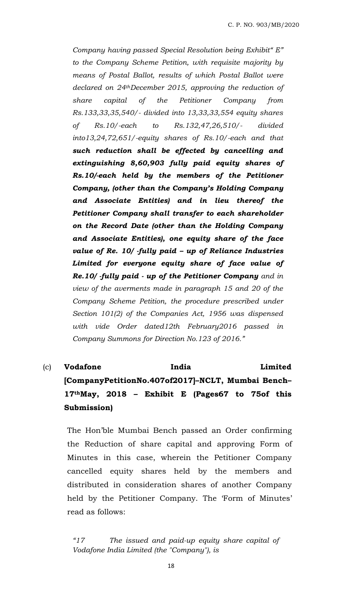*Company having passed Special Resolution being Exhibit" E" to the Company Scheme Petition, with requisite majority by means of Postal Ballot, results of which Postal Ballot were declared on 24thDecember 2015, approving the reduction of share capital of the Petitioner Company from Rs.133,33,35,540/- divided into 13,33,33,554 equity shares of Rs.10/-each to Rs.132,47,26,510/- divided into13,24,72,651/-equity shares of Rs.10/-each and that such reduction shall be effected by cancelling and extinguishing 8,60,903 fully paid equity shares of Rs.10/-each held by the members of the Petitioner Company, (other than the Company's Holding Company and Associate Entities) and in lieu thereof the Petitioner Company shall transfer to each shareholder on the Record Date (other than the Holding Company and Associate Entities), one equity share of the face value of Re. 10/ -fully paid – up of Reliance Industries Limited for everyone equity share of face value of Re.10/ -fully paid - up of the Petitioner Company and in view of the averments made in paragraph 15 and 20 of the Company Scheme Petition, the procedure prescribed under Section 101(2) of the Companies Act, 1956 was dispensed with vide Order dated12th February2016 passed in Company Summons for Direction No.123 of 2016."*

# (c) **Vodafone India Limited [CompanyPetitionNo.407of2017]–NCLT, Mumbai Bench– 17thMay, 2018 – Exhibit E (Pages67 to 75of this Submission)**

The Hon'ble Mumbai Bench passed an Order confirming the Reduction of share capital and approving Form of Minutes in this case, wherein the Petitioner Company cancelled equity shares held by the members and distributed in consideration shares of another Company held by the Petitioner Company. The 'Form of Minutes' read as follows:

*"17 The issued and paid-up equity share capital of Vodafone India Limited (the "Company"), is*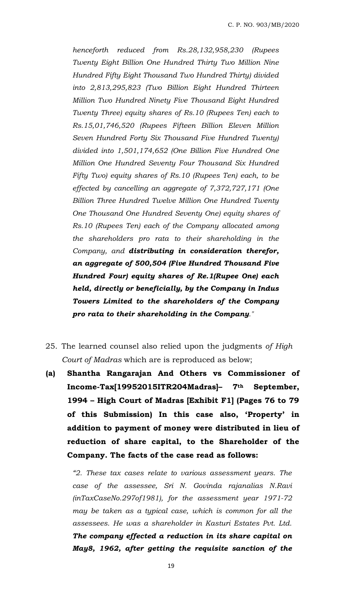*henceforth reduced from Rs.28,132,958,230 (Rupees Twenty Eight Billion One Hundred Thirty Two Million Nine Hundred Fifty Eight Thousand Two Hundred Thirty) divided into 2,813,295,823 (Two Billion Eight Hundred Thirteen Million Two Hundred Ninety Five Thousand Eight Hundred Twenty Three) equity shares of Rs.10 (Rupees Ten) each to Rs.15,01,746,520 (Rupees Fifteen Billion Eleven Million Seven Hundred Forty Six Thousand Five Hundred Twenty) divided into 1,501,174,652 (One Billion Five Hundred One Million One Hundred Seventy Four Thousand Six Hundred Fifty Two) equity shares of Rs.10 (Rupees Ten) each, to be effected by cancelling an aggregate of 7,372,727,171 (One Billion Three Hundred Twelve Million One Hundred Twenty One Thousand One Hundred Seventy One) equity shares of Rs.10 (Rupees Ten) each of the Company allocated among the shareholders pro rata to their shareholding in the Company, and distributing in consideration therefor, an aggregate of 500,504 (Five Hundred Thousand Five Hundred Four) equity shares of Re.1(Rupee One) each held, directly or beneficially, by the Company in Indus Towers Limited to the shareholders of the Company pro rata to their shareholding in the Company."*

- 25. The learned counsel also relied upon the judgments *of High Court of Madras* which are is reproduced as below;
- **(a) Shantha Rangarajan And Others vs Commissioner of Income-Tax[19952015ITR204Madras]– 7th September, 1994 – High Court of Madras [Exhibit F1] (Pages 76 to 79 of this Submission) In this case also, 'Property' in addition to payment of money were distributed in lieu of reduction of share capital, to the Shareholder of the Company. The facts of the case read as follows:**

*"2. These tax cases relate to various assessment years. The case of the assessee, Sri N. Govinda rajanalias N.Ravi (inTaxCaseNo.297of1981), for the assessment year 1971-72 may be taken as a typical case, which is common for all the assessees. He was a shareholder in Kasturi Estates Pvt. Ltd. The company effected a reduction in its share capital on May8, 1962, after getting the requisite sanction of the*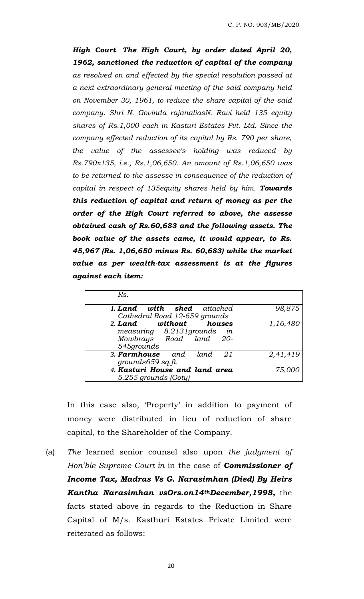*High Court. The High Court, by order dated April 20, 1962, sanctioned the reduction of capital of the company as resolved on and effected by the special resolution passed at a next extraordinary general meeting of the said company held on November 30, 1961, to reduce the share capital of the said company. Shri N. Govinda rajanaliasN. Ravi held 135 equity shares of Rs.1,000 each in Kasturi Estates Pvt. Ltd. Since the company effected reduction of its capital by Rs. 790 per share, the value of the assessee's holding was reduced by Rs.790x135, i.e., Rs.1,06,650. An amount of Rs.1,06,650 was to be returned to the assesse in consequence of the reduction of capital in respect of 135equity shares held by him. Towards this reduction of capital and return of money as per the order of the High Court referred to above, the assesse obtained cash of Rs.60,683 and the following assets. The book value of the assets came, it would appear, to Rs. 45,967 (Rs. 1,06,650 minus Rs. 60,683) while the market value as per wealth-tax assessment is at the figures against each item:*

| Rs.                                                                                              |          |
|--------------------------------------------------------------------------------------------------|----------|
| <b>1. Land with shed</b> attached<br>Cathedral Road 12-659 grounds                               | 98,875   |
| 2. Land without houses<br>measuring 8.2131 grounds<br>in<br>Mowbrays Road land 20-<br>545grounds | 1,16,480 |
| 3. Farmhouse and<br>21<br>land<br>grounds659 sq.ft.                                              | 2,41,419 |
| 4. Kasturi House and land area<br>5.255 grounds (Ooty)                                           | 75,000   |

In this case also, 'Property' in addition to payment of money were distributed in lieu of reduction of share capital, to the Shareholder of the Company.

(a) *The* learned senior counsel also upon *the judgment of Hon'ble Supreme Court in* in the case of *Commissioner of Income Tax, Madras Vs G. Narasimhan (Died) By Heirs Kantha Narasimhan vsOrs.on14thDecember,1998,* the facts stated above in regards to the Reduction in Share Capital of M/s. Kasthuri Estates Private Limited were reiterated as follows: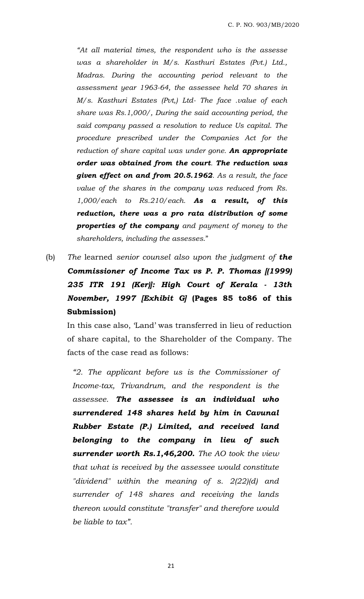*"At all material times, the respondent who is the assesse was a shareholder in M/s. Kasthuri Estates (Pvt.) Ltd., Madras. During the accounting period relevant to the assessment year 1963-64, the assessee held 70 shares in M/s. Kasthuri Estates (Pvt,) Ltd- The face .value of each share was Rs.1,000/, During the said accounting period, the said company passed a resolution to reduce Us capital. The procedure prescribed under the Companies Act for the reduction of share capital was under gone. An appropriate order was obtained from the court. The reduction was given effect on and from 20.5.1962. As a result, the face value of the shares in the company was reduced from Rs. 1,000/each to Rs.210/each. As a result, of this reduction, there was a pro rata distribution of some properties of the company and payment of money to the shareholders, including the assesses*."

(b) *The* learned *senior counsel also upon the judgment of the Commissioner of Income Tax vs P. P. Thomas [(1999) 235 ITR 191 (Ker)]: High Court of Kerala - 13th November, 1997 [Exhibit G]* **(Pages 85 to86 of this Submission)**

In this case also, 'Land' was transferred in lieu of reduction of share capital, to the Shareholder of the Company. The facts of the case read as follows:

*"2. The applicant before us is the Commissioner of Income-tax, Trivandrum, and the respondent is the assessee. The assessee is an individual who surrendered 148 shares held by him in Cavunal Rubber Estate (P.) Limited, and received land belonging to the company in lieu of such surrender worth Rs.1,46,200. The AO took the view that what is received by the assessee would constitute "dividend" within the meaning of s. 2(22)(d) and surrender of 148 shares and receiving the lands thereon would constitute "transfer" and therefore would be liable to tax".*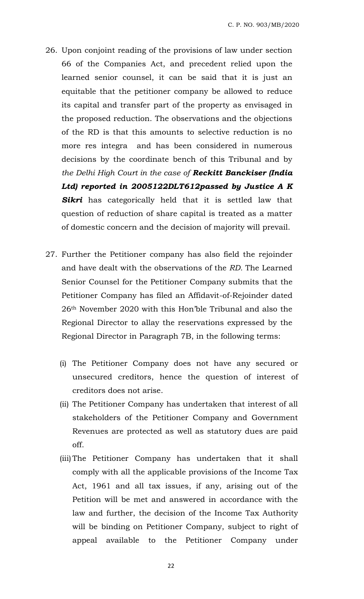- 26. Upon conjoint reading of the provisions of law under section 66 of the Companies Act, and precedent relied upon the learned senior counsel, it can be said that it is just an equitable that the petitioner company be allowed to reduce its capital and transfer part of the property as envisaged in the proposed reduction. The observations and the objections of the RD is that this amounts to selective reduction is no more res integra and has been considered in numerous decisions by the coordinate bench of this Tribunal and by *the Delhi High Court in the case of Reckitt Banckiser (India Ltd) reported in 2005122DLT612passed by Justice A K*  **Sikri** has categorically held that it is settled law that question of reduction of share capital is treated as a matter of domestic concern and the decision of majority will prevail.
- 27. Further the Petitioner company has also field the rejoinder and have dealt with the observations of the *RD.* The Learned Senior Counsel for the Petitioner Company submits that the Petitioner Company has filed an Affidavit-of-Rejoinder dated 26th November 2020 with this Hon'ble Tribunal and also the Regional Director to allay the reservations expressed by the Regional Director in Paragraph 7B, in the following terms:
	- (i) The Petitioner Company does not have any secured or unsecured creditors, hence the question of interest of creditors does not arise.
	- (ii) The Petitioner Company has undertaken that interest of all stakeholders of the Petitioner Company and Government Revenues are protected as well as statutory dues are paid off.
	- (iii) The Petitioner Company has undertaken that it shall comply with all the applicable provisions of the Income Tax Act, 1961 and all tax issues, if any, arising out of the Petition will be met and answered in accordance with the law and further, the decision of the Income Tax Authority will be binding on Petitioner Company, subject to right of appeal available to the Petitioner Company under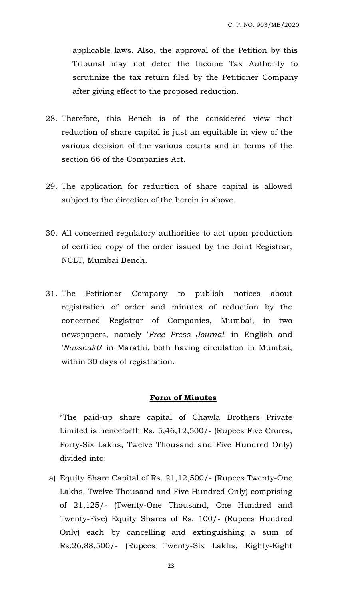applicable laws. Also, the approval of the Petition by this Tribunal may not deter the Income Tax Authority to scrutinize the tax return filed by the Petitioner Company after giving effect to the proposed reduction.

- 28. Therefore, this Bench is of the considered view that reduction of share capital is just an equitable in view of the various decision of the various courts and in terms of the section 66 of the Companies Act.
- 29. The application for reduction of share capital is allowed subject to the direction of the herein in above.
- 30. All concerned regulatory authorities to act upon production of certified copy of the order issued by the Joint Registrar, NCLT, Mumbai Bench.
- 31. The Petitioner Company to publish notices about registration of order and minutes of reduction by the concerned Registrar of Companies, Mumbai, in two newspapers, namely '*Free Press Journal*' in English and '*Navshakti*' in Marathi, both having circulation in Mumbai, within 30 days of registration.

## **Form of Minutes**

"The paid-up share capital of Chawla Brothers Private Limited is henceforth Rs. 5,46,12,500/- (Rupees Five Crores, Forty-Six Lakhs, Twelve Thousand and Five Hundred Only) divided into:

a) Equity Share Capital of Rs. 21,12,500/- (Rupees Twenty-One Lakhs, Twelve Thousand and Five Hundred Only) comprising of 21,125/- (Twenty-One Thousand, One Hundred and Twenty-Five) Equity Shares of Rs. 100/- (Rupees Hundred Only) each by cancelling and extinguishing a sum of Rs.26,88,500/- (Rupees Twenty-Six Lakhs, Eighty-Eight